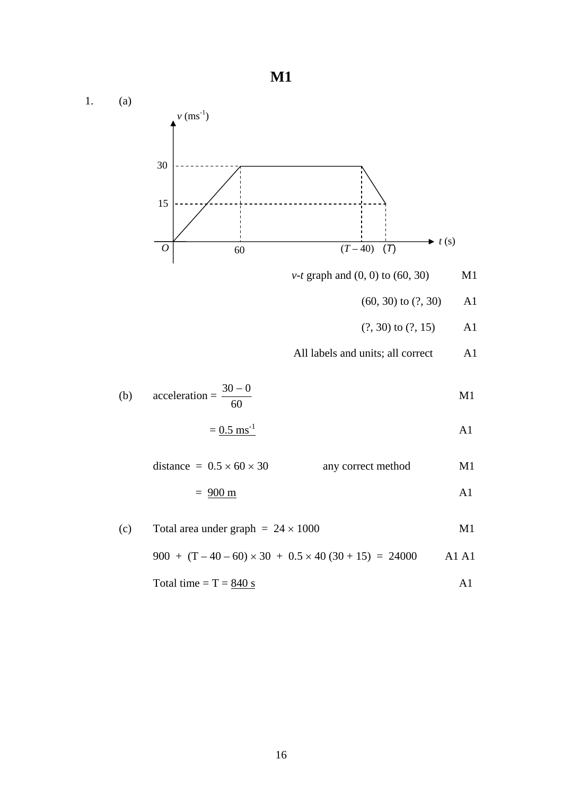**M1**  1. (a) *v-t* graph and (0, 0) to (60, 30) M1 (60, 30) to (?, 30) A1 (?, 30) to (?, 15) A1 All labels and units; all correct A1 (b) acceleration =  $\frac{30-0}{60}$  M1  $= 0.5 \text{ ms}^{-1}$  A1 distance =  $0.5 \times 60 \times 30$  any correct method M1  $= 900 \text{ m}$  A1 (c) Total area under graph  $= 24 \times 1000$  M1 900 +  $(T - 40 - 60) \times 30 + 0.5 \times 40 (30 + 15) = 24000$  A1 A1 Total time =  $T = \frac{840 \text{ s}}{94.5}$  A1 30 15  $\overrightarrow{O}$  60  $\overrightarrow{(T-40)}$   $\overrightarrow{(T)}$  *t* (s)  $v$  (ms<sup>-1</sup>)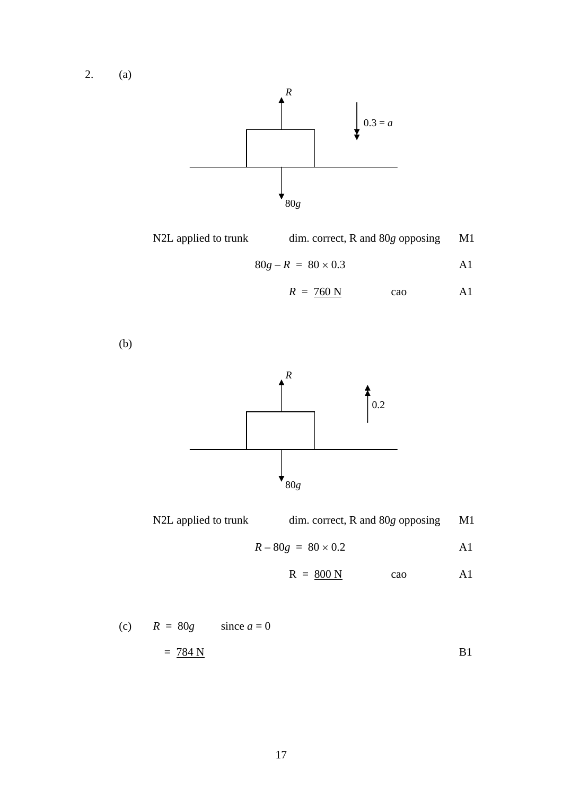2. (a)



| N2L applied to trunk | $dim.$ correct, R and $80g$ opposing | M1 |
|----------------------|--------------------------------------|----|
|                      |                                      |    |

$$
80g - R = 80 \times 0.3
$$

$$
R = 760 \text{ N} \qquad \text{cao} \qquad \text{A1}
$$

(b)



| N2L applied to trunk | $\dim$ correct, R and 80g opposing | M1 |
|----------------------|------------------------------------|----|
|                      |                                    |    |

$$
R - 80g = 80 \times 0.2
$$

$$
R = 800 N \qquad \text{cao} \qquad \text{A1}
$$

(c) 
$$
R = 80g
$$
 since  $a = 0$   
=  $784 N$  B1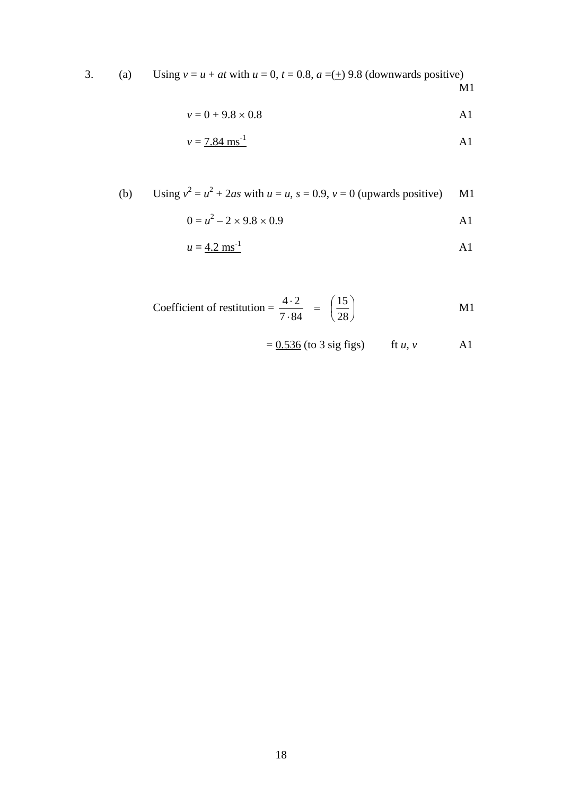3. (a) Using  $v = u + at$  with  $u = 0$ ,  $t = 0.8$ ,  $a = (\pm) 9.8$  (downwards positive) M1 M1

$$
v = 0 + 9.8 \times 0.8
$$
 A1

$$
v = 7.84 \text{ ms}^{-1}
$$

(b) Using 
$$
v^2 = u^2 + 2as
$$
 with  $u = u$ ,  $s = 0.9$ ,  $v = 0$  (upwards positive) M1

$$
0 = u^2 - 2 \times 9.8 \times 0.9
$$

$$
u = \underline{4.2 \text{ ms}^{-1}}
$$

Coefficient of restitution = 
$$
\frac{4 \cdot 2}{7 \cdot 84} = \left(\frac{15}{28}\right)
$$
 M1

$$
= 0.536 \text{ (to 3 sig figs)} \qquad \text{ft } u, v \qquad \text{A1}
$$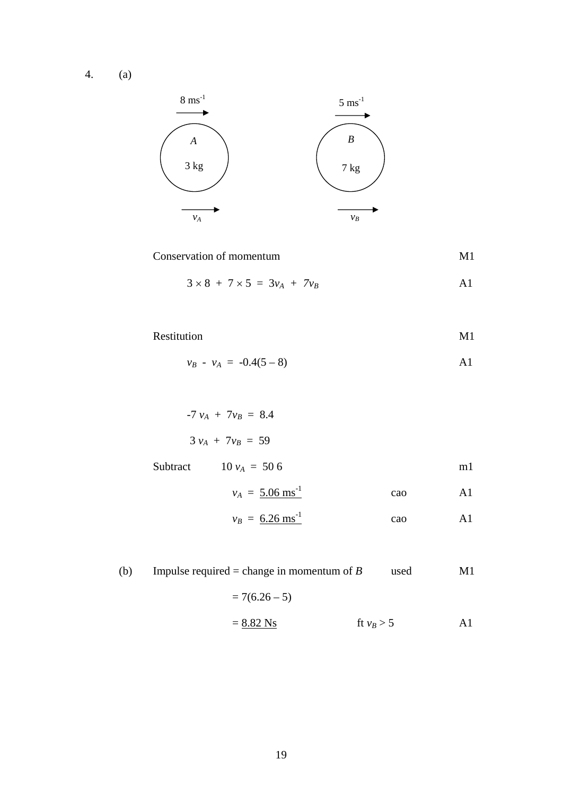4. (a)



Conservation of momentum M1

$$
3 \times 8 + 7 \times 5 = 3v_A + 7v_B
$$

Restitution M1

$$
v_B - v_A = -0.4(5-8)
$$
 A1

 $-7 v_A + 7v_B = 8.4$  $3 v_A + 7v_B = 59$ Subtract  $10 v_A = 50 6$  m1

$$
v_A = 5.06 \text{ ms}^{-1} \qquad \text{cao} \qquad \text{A1}
$$

$$
v_B = 6.26 \text{ ms}^{-1} \qquad \text{cao} \qquad \text{A1}
$$

(b) Impulse required = change in momentum of *B* used M1  $= 7(6.26 - 5)$  $= 8.82 \text{ Ns}$  ft  $v_B > 5$  A1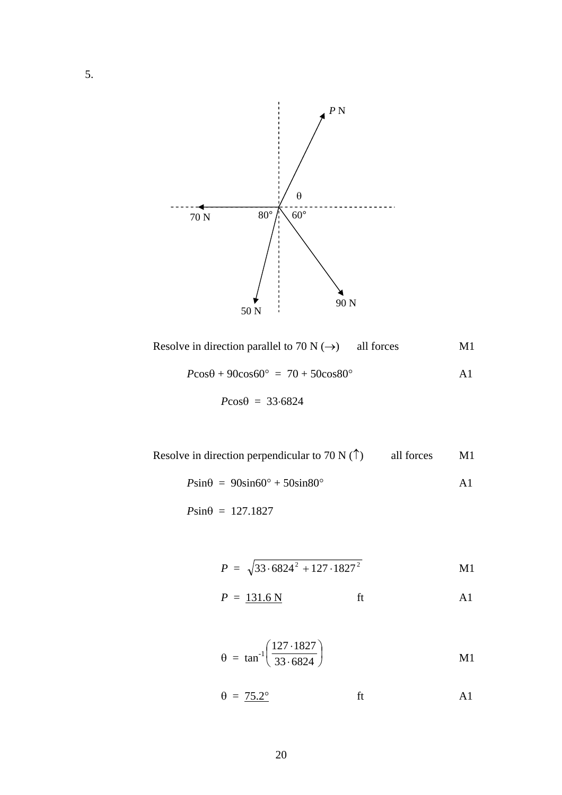

Resolve in direction parallel to 70 N ( $\rightarrow$ ) all forces M1

$$
P\cos\theta + 90\cos 60^\circ = 70 + 50\cos 80^\circ
$$
 A1

$$
P\cos\theta = 33.6824
$$

Resolve in direction perpendicular to 70 N  $($ <sup> $\dagger)$ </sup> all forces M1

$$
P\sin\theta = 90\sin 60^\circ + 50\sin 80^\circ
$$
 A1

 $P\sin\theta = 127.1827$ 

$$
P = \sqrt{33.6824^2 + 127.1827^2}
$$
 M1

$$
P = \underline{131.6 \text{ N}} \qquad \text{ft} \qquad \text{A1}
$$

$$
\theta = \tan^{-1} \left( \frac{127 \cdot 1827}{33 \cdot 6824} \right) \tag{M1}
$$

$$
\theta = 75.2^{\circ} \qquad \text{ft} \qquad \text{A1}
$$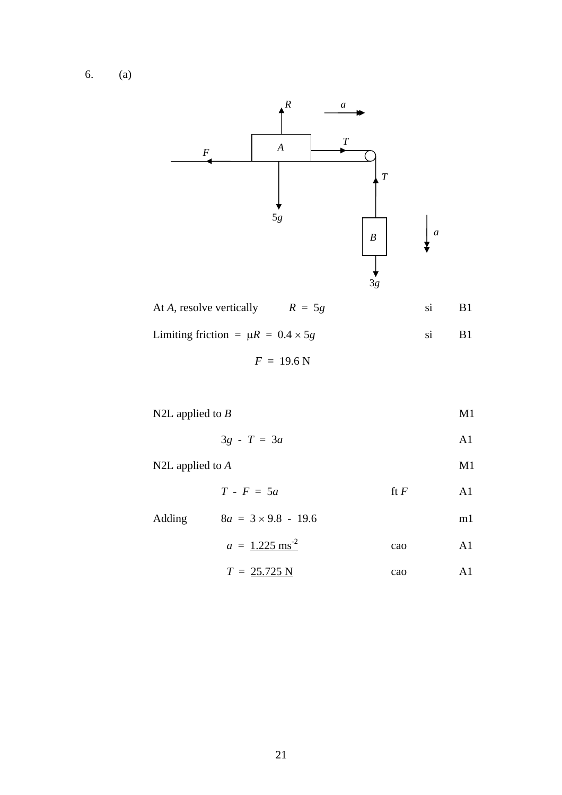6. (a)



| At A, resolve vertically $R = 5g$           |  |  |
|---------------------------------------------|--|--|
| Limiting friction = $\mu R = 0.4 \times 5g$ |  |  |

$$
F = 19.6 \text{ N}
$$

N2L applied to *B* M1

$$
3g - T = 3a \qquad \qquad \text{A1}
$$

N2L applied to *A* M1

 $T - F = 5a$  ft *F* A1

| Adding | $8a = 3 \times 9.8 - 19.6$   |     | m I |
|--------|------------------------------|-----|-----|
|        | $a = 1.225$ ms <sup>-2</sup> | cao |     |

$$
T = 25.725 \text{ N} \qquad \text{cao} \qquad \text{A1}
$$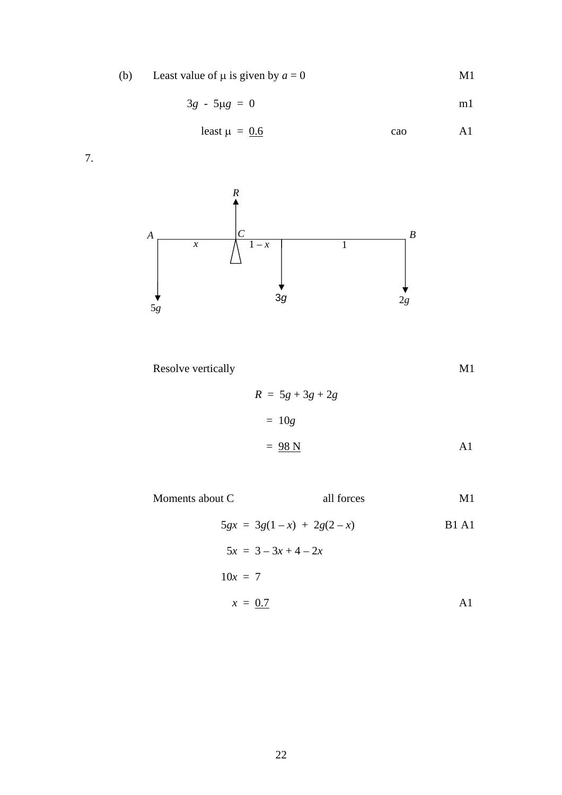(b) Least value of  $\mu$  is given by  $a = 0$  M1

$$
3g - 5\mu g = 0 \qquad \qquad \text{m1}
$$

$$
least \mu = 0.6 \qquad \qquad \text{cao} \qquad \qquad \text{A1}
$$

7.



Resolve vertically

\n
$$
R = 5g + 3g + 2g
$$
\n
$$
= 10g
$$

$$
= 98 \text{ N}
$$

Moments about C all forces M1

$$
5gx = 3g(1-x) + 2g(2-x)
$$
  
\n
$$
5x = 3 - 3x + 4 - 2x
$$
  
\n
$$
10x = 7
$$
  
\n
$$
x = 0.7
$$
  
\nA1